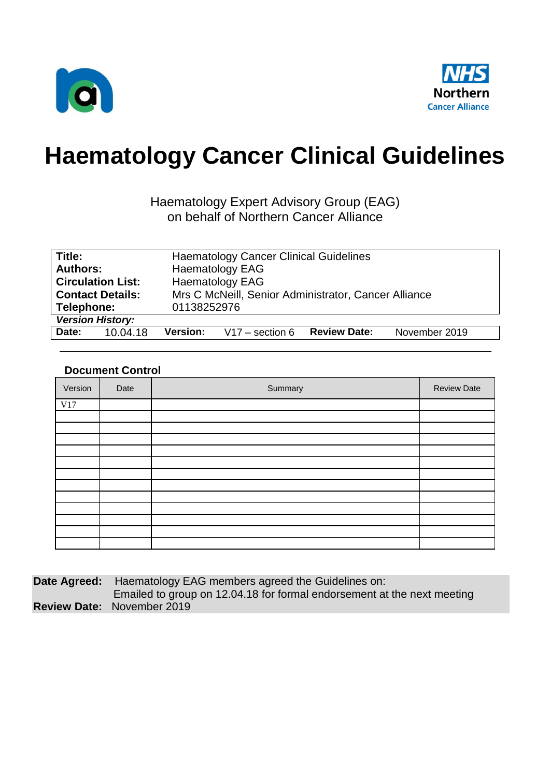



# **Haematology Cancer Clinical Guidelines**

### Haematology Expert Advisory Group (EAG) on behalf of Northern Cancer Alliance

| Title:                   | <b>Haematology Cancer Clinical Guidelines</b>                                |  |  |
|--------------------------|------------------------------------------------------------------------------|--|--|
| <b>Authors:</b>          | <b>Haematology EAG</b>                                                       |  |  |
| <b>Circulation List:</b> | <b>Haematology EAG</b>                                                       |  |  |
| <b>Contact Details:</b>  | Mrs C McNeill, Senior Administrator, Cancer Alliance                         |  |  |
| Telephone:               | 01138252976                                                                  |  |  |
| <b>Version History:</b>  |                                                                              |  |  |
| Date:<br>10.04.18        | November 2019<br><b>Review Date:</b><br>$V17 -$ section 6<br><b>Version:</b> |  |  |

### **Document Control**

| Version | Date | Summary | <b>Review Date</b> |
|---------|------|---------|--------------------|
| V17     |      |         |                    |
|         |      |         |                    |
|         |      |         |                    |
|         |      |         |                    |
|         |      |         |                    |
|         |      |         |                    |
|         |      |         |                    |
|         |      |         |                    |
|         |      |         |                    |
|         |      |         |                    |
|         |      |         |                    |
|         |      |         |                    |
|         |      |         |                    |

**Date Agreed:** Haematology EAG members agreed the Guidelines on:

 Emailed to group on 12.04.18 for formal endorsement at the next meeting **Review Date:** November 2019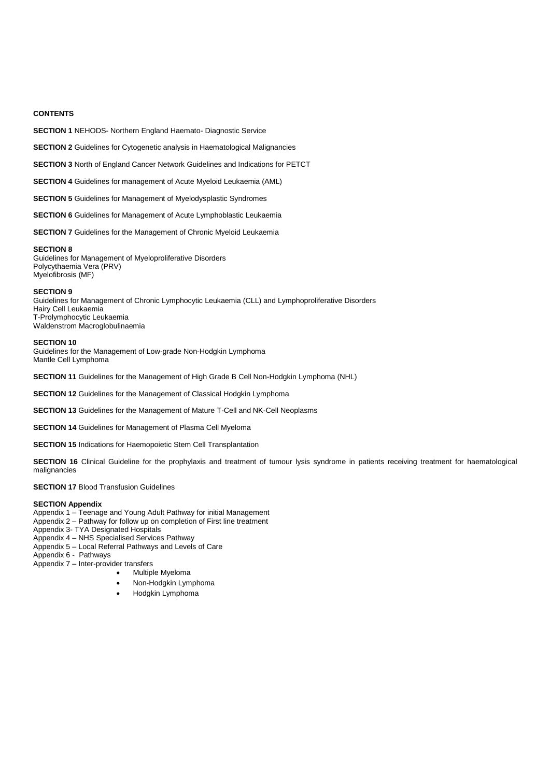#### **CONTENTS**

**SECTION 1** NEHODS- Northern England Haemato- Diagnostic Service

**SECTION 2** Guidelines for Cytogenetic analysis in Haematological Malignancies

**SECTION 3** North of England Cancer Network Guidelines and Indications for PETCT

**SECTION 4** Guidelines for management of Acute Myeloid Leukaemia (AML)

**SECTION 5** Guidelines for Management of Myelodysplastic Syndromes

**SECTION 6** Guidelines for Management of Acute Lymphoblastic Leukaemia

**SECTION 7** Guidelines for the Management of Chronic Myeloid Leukaemia

#### **SECTION 8**

Guidelines for Management of Myeloproliferative Disorders Polycythaemia Vera (PRV) Myelofibrosis (MF)

#### **SECTION 9**

Guidelines for Management of Chronic Lymphocytic Leukaemia (CLL) and Lymphoproliferative Disorders Hairy Cell Leukaemia T-Prolymphocytic Leukaemia Waldenstrom Macroglobulinaemia

#### **SECTION 10**

Guidelines for the Management of Low-grade Non-Hodgkin Lymphoma Mantle Cell Lymphoma

**SECTION 11** Guidelines for the Management of High Grade B Cell Non-Hodgkin Lymphoma (NHL)

**SECTION 12** Guidelines for the Management of Classical Hodgkin Lymphoma

**SECTION 13** Guidelines for the Management of Mature T-Cell and NK-Cell Neoplasms

**SECTION 14** Guidelines for Management of Plasma Cell Myeloma

**SECTION 15** Indications for Haemopoietic Stem Cell Transplantation

**SECTION 16** Clinical Guideline for the prophylaxis and treatment of tumour lysis syndrome in patients receiving treatment for haematological malignancies

#### **SECTION 17** Blood Transfusion Guidelines

#### **SECTION Appendix**

Appendix 1 – Teenage and Young Adult Pathway for initial Management

- Appendix 2 Pathway for follow up on completion of First line treatment
- Appendix 3- TYA Designated Hospitals
- Appendix 4 NHS Specialised Services Pathway
- Appendix 5 Local Referral Pathways and Levels of Care

Appendix 6 - Pathways Appendix 7 – Inter-provider transfers

- Multiple Myeloma
- 
- Non-Hodgkin Lymphoma
- Hodgkin Lymphoma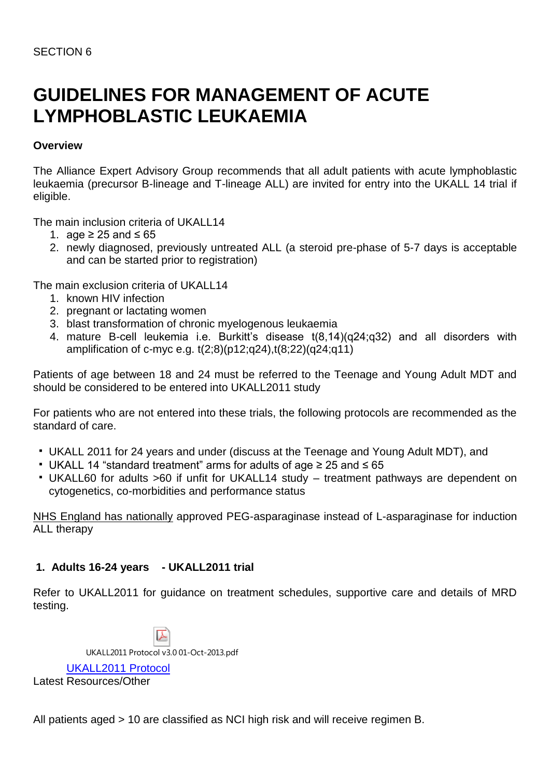## **GUIDELINES FOR MANAGEMENT OF ACUTE LYMPHOBLASTIC LEUKAEMIA**

### **Overview**

The Alliance Expert Advisory Group recommends that all adult patients with acute lymphoblastic leukaemia (precursor B-lineage and T-lineage ALL) are invited for entry into the UKALL 14 trial if eligible.

The main inclusion criteria of UKALL14

- 1. age ≥ 25 and  $\leq 65$
- 2. newly diagnosed, previously untreated ALL (a steroid pre-phase of 5-7 days is acceptable and can be started prior to registration)

The main exclusion criteria of UKALL14

- 1. known HIV infection
- 2. pregnant or lactating women
- 3. blast transformation of chronic myelogenous leukaemia
- 4. mature B-cell leukemia i.e. Burkitt's disease t(8,14)(q24;q32) and all disorders with amplification of c-myc e.g. t(2;8)(p12;q24),t(8;22)(q24;q11)

Patients of age between 18 and 24 must be referred to the Teenage and Young Adult MDT and should be considered to be entered into UKALL2011 study

For patients who are not entered into these trials, the following protocols are recommended as the standard of care.

- UKALL 2011 for 24 years and under (discuss at the Teenage and Young Adult MDT), and
- UKALL 14 "standard treatment" arms for adults of age ≥ 25 and ≤ 65
- UKALL60 for adults >60 if unfit for UKALL14 study treatment pathways are dependent on cytogenetics, co-morbidities and performance status

NHS England has nationally approved PEG-asparaginase instead of L-asparaginase for induction ALL therapy

### **1. Adults 16-24 years - UKALL2011 trial**

Refer to UKALL2011 for guidance on treatment schedules, supportive care and details of MRD testing.

UKALL2011 Protocol v3.0 01-Oct-2013.pdf [UKALL2011 Protocol](http://www.northerncanceralliance.nhs.uk/advisory_group/haematology-expert-advisory-group/) Latest Resources/Other

All patients aged > 10 are classified as NCI high risk and will receive regimen B.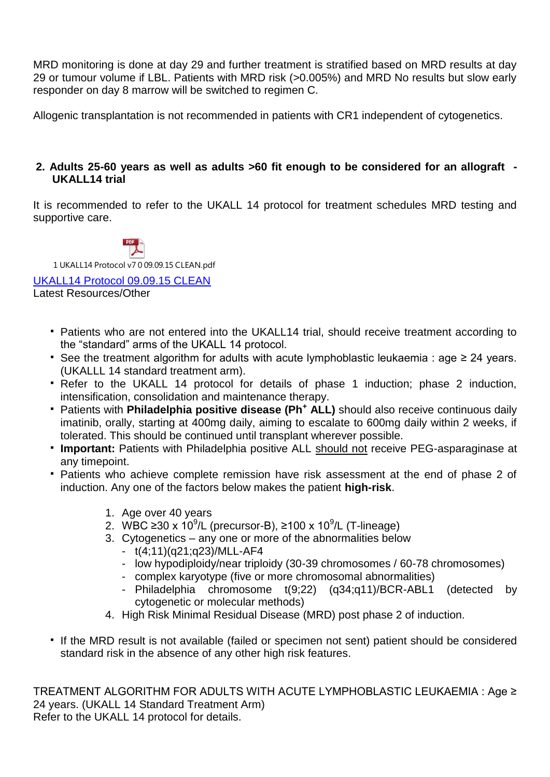MRD monitoring is done at day 29 and further treatment is stratified based on MRD results at day 29 or tumour volume if LBL. Patients with MRD risk (>0.005%) and MRD No results but slow early responder on day 8 marrow will be switched to regimen C.

Allogenic transplantation is not recommended in patients with CR1 independent of cytogenetics.

### **2. Adults 25-60 years as well as adults >60 fit enough to be considered for an allograft - UKALL14 trial**

It is recommended to refer to the UKALL 14 protocol for treatment schedules MRD testing and supportive care.



Latest Resources/Other

- Patients who are not entered into the UKALL14 trial, should receive treatment according to the "standard" arms of the UKALL 14 protocol.
- See the treatment algorithm for adults with acute lymphoblastic leukaemia : age ≥ 24 years. (UKALLL 14 standard treatment arm).
- Refer to the UKALL 14 protocol for details of phase 1 induction; phase 2 induction, intensification, consolidation and maintenance therapy.
- Patients with **Philadelphia positive disease (Ph<sup>+</sup> ALL)** should also receive continuous daily imatinib, orally, starting at 400mg daily, aiming to escalate to 600mg daily within 2 weeks, if tolerated. This should be continued until transplant wherever possible.
- **Important:** Patients with Philadelphia positive ALL should not receive PEG-asparaginase at any timepoint.
- Patients who achieve complete remission have risk assessment at the end of phase 2 of induction. Any one of the factors below makes the patient **high-risk**.
	- 1. Age over 40 years
	- 2. WBC ≥30 x 10<sup>9</sup>/L (precursor-B), ≥100 x 10<sup>9</sup>/L (T-lineage)
	- 3. Cytogenetics any one or more of the abnormalities below
		- t(4;11)(q21;q23)/MLL-AF4
		- low hypodiploidy/near triploidy (30-39 chromosomes / 60-78 chromosomes)
		- complex karyotype (five or more chromosomal abnormalities)
		- Philadelphia chromosome t(9;22) (q34;q11)/BCR-ABL1 (detected by cytogenetic or molecular methods)
	- 4. High Risk Minimal Residual Disease (MRD) post phase 2 of induction.
- If the MRD result is not available (failed or specimen not sent) patient should be considered standard risk in the absence of any other high risk features.

TREATMENT ALGORITHM FOR ADULTS WITH ACUTE LYMPHOBLASTIC LEUKAEMIA : Age ≥ 24 years. (UKALL 14 Standard Treatment Arm) Refer to the UKALL 14 protocol for details.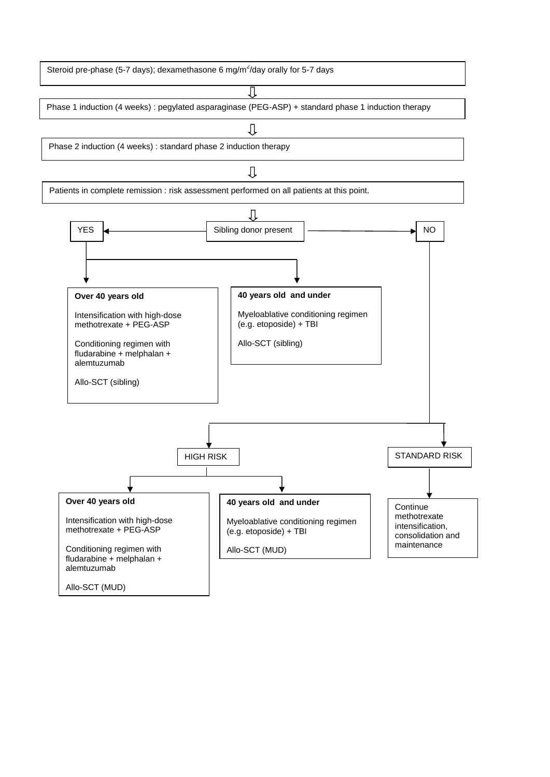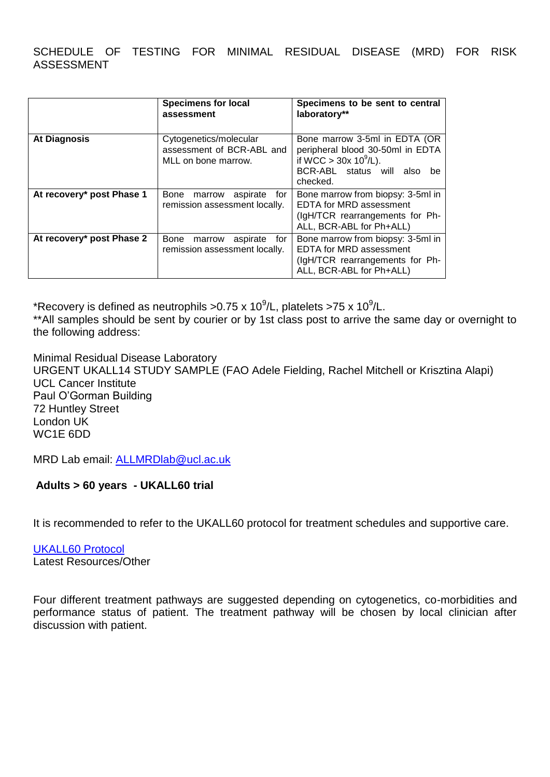SCHEDULE OF TESTING FOR MINIMAL RESIDUAL DISEASE (MRD) FOR RISK ASSESSMENT

|                           | <b>Specimens for local</b><br>assessment                                   | Specimens to be sent to central<br>laboratory**                                                                                             |
|---------------------------|----------------------------------------------------------------------------|---------------------------------------------------------------------------------------------------------------------------------------------|
| <b>At Diagnosis</b>       | Cytogenetics/molecular<br>assessment of BCR-ABL and<br>MLL on bone marrow. | Bone marrow 3-5ml in EDTA (OR<br>peripheral blood 30-50ml in EDTA<br>if WCC $> 30x 10^9/L$ ).<br>BCR-ABL status will also<br>be<br>checked. |
| At recovery* post Phase 1 | Bone<br>aspirate<br>for<br>marrow<br>remission assessment locally.         | Bone marrow from biopsy: 3-5ml in<br>EDTA for MRD assessment<br>(IgH/TCR rearrangements for Ph-<br>ALL, BCR-ABL for Ph+ALL)                 |
| At recovery* post Phase 2 | Bone<br>aspirate<br>for<br>marrow<br>remission assessment locally.         | Bone marrow from biopsy: 3-5ml in<br><b>EDTA for MRD assessment</b><br>(IgH/TCR rearrangements for Ph-<br>ALL, BCR-ABL for Ph+ALL)          |

\*Recovery is defined as neutrophils >0.75 x 10<sup>9</sup>/L, platelets >75 x 10<sup>9</sup>/L.

\*\*All samples should be sent by courier or by 1st class post to arrive the same day or overnight to the following address:

Minimal Residual Disease Laboratory URGENT UKALL14 STUDY SAMPLE (FAO Adele Fielding, Rachel Mitchell or Krisztina Alapi) UCL Cancer Institute Paul O'Gorman Building 72 Huntley Street London UK WC1E 6DD

MRD Lab email: [ALLMRDlab@ucl.ac.uk](mailto:ALLMRDlab@ucl.ac.uk)

### **Adults > 60 years - UKALL60 trial**

It is recommended to refer to the UKALL60 protocol for treatment schedules and supportive care.

[UKALL60 Protocol](http://www.northerncanceralliance.nhs.uk/advisory_group/haematology-expert-advisory-group/) Latest Resources/Other

Four different treatment pathways are suggested depending on cytogenetics, co-morbidities and performance status of patient. The treatment pathway will be chosen by local clinician after discussion with patient.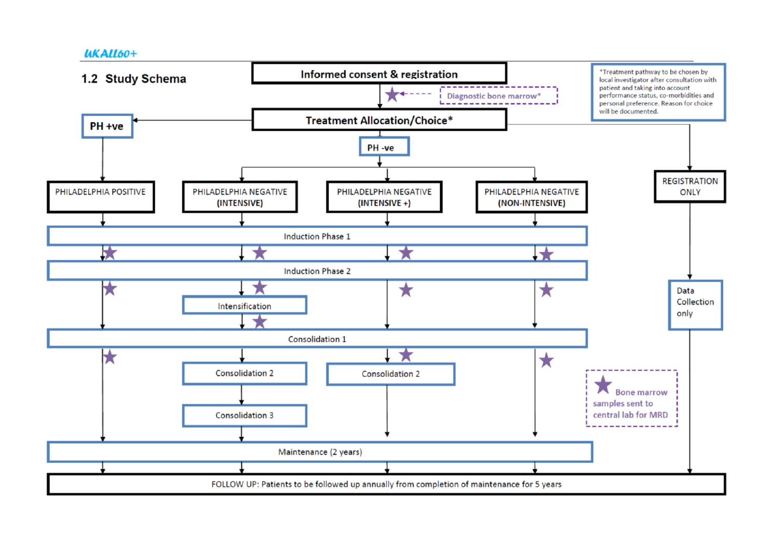